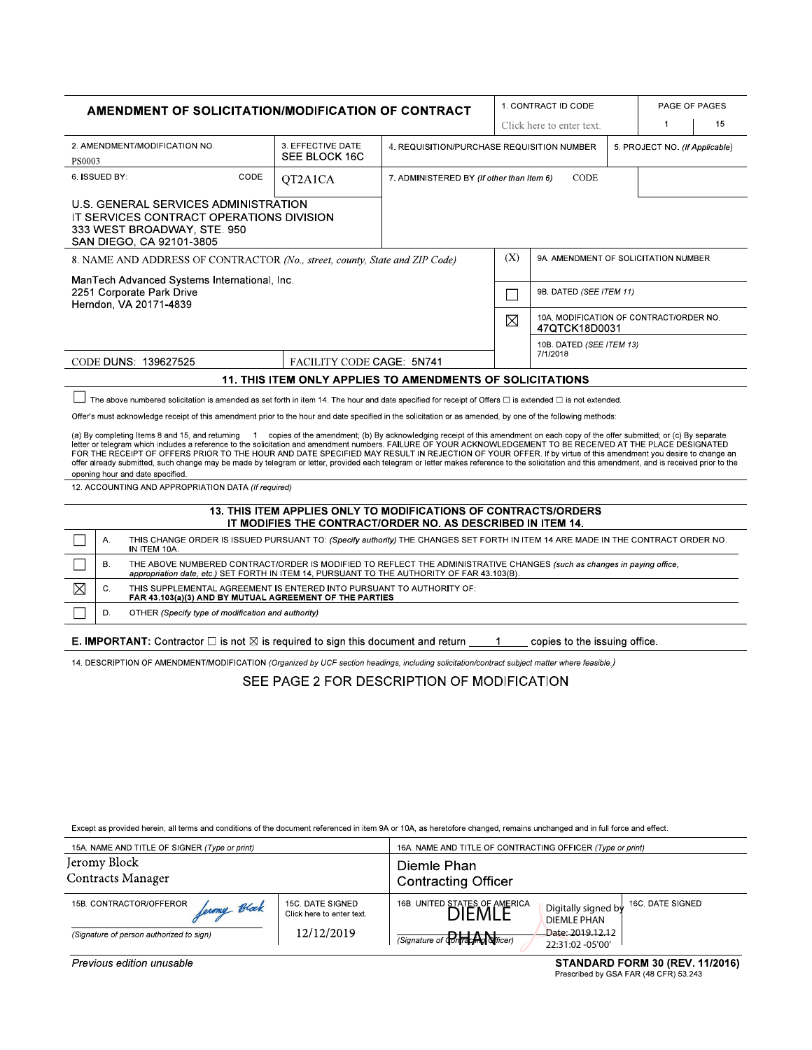| <b>AMENDMENT OF SOLICITATION/MODIFICATION OF CONTRACT</b>                                                                                                                                                                                                                                                                                                                                                                                                                                                                                                                                                                                                                                                                                                 |                                                                                                                                                                                                                                    |      |               | 1. CONTRACT ID CODE                                      |             | PAGE OF PAGES                                            |  |                                |    |
|-----------------------------------------------------------------------------------------------------------------------------------------------------------------------------------------------------------------------------------------------------------------------------------------------------------------------------------------------------------------------------------------------------------------------------------------------------------------------------------------------------------------------------------------------------------------------------------------------------------------------------------------------------------------------------------------------------------------------------------------------------------|------------------------------------------------------------------------------------------------------------------------------------------------------------------------------------------------------------------------------------|------|---------------|----------------------------------------------------------|-------------|----------------------------------------------------------|--|--------------------------------|----|
|                                                                                                                                                                                                                                                                                                                                                                                                                                                                                                                                                                                                                                                                                                                                                           |                                                                                                                                                                                                                                    |      |               |                                                          |             | Click here to enter text.                                |  | 1                              | 15 |
|                                                                                                                                                                                                                                                                                                                                                                                                                                                                                                                                                                                                                                                                                                                                                           | 3. EFFECTIVE DATE<br>2. AMENDMENT/MODIFICATION NO.                                                                                                                                                                                 |      |               | 4. REQUISITION/PURCHASE REQUISITION NUMBER               |             |                                                          |  | 5. PROJECT NO. (If Applicable) |    |
| PS0003                                                                                                                                                                                                                                                                                                                                                                                                                                                                                                                                                                                                                                                                                                                                                    |                                                                                                                                                                                                                                    |      | SEE BLOCK 16C |                                                          |             |                                                          |  |                                |    |
| 6. ISSUED BY:                                                                                                                                                                                                                                                                                                                                                                                                                                                                                                                                                                                                                                                                                                                                             |                                                                                                                                                                                                                                    | CODE | QT2A1CA       | <b>CODE</b><br>7. ADMINISTERED BY (If other than Item 6) |             |                                                          |  |                                |    |
| U.S. GENERAL SERVICES ADMINISTRATION<br>IT SERVICES CONTRACT OPERATIONS DIVISION<br>333 WEST BROADWAY, STE. 950<br>SAN DIEGO, CA 92101-3805                                                                                                                                                                                                                                                                                                                                                                                                                                                                                                                                                                                                               |                                                                                                                                                                                                                                    |      |               |                                                          |             |                                                          |  |                                |    |
|                                                                                                                                                                                                                                                                                                                                                                                                                                                                                                                                                                                                                                                                                                                                                           | 8. NAME AND ADDRESS OF CONTRACTOR (No., street, county, State and ZIP Code)                                                                                                                                                        |      |               |                                                          | (X)         | 9A. AMENDMENT OF SOLICITATION NUMBER                     |  |                                |    |
|                                                                                                                                                                                                                                                                                                                                                                                                                                                                                                                                                                                                                                                                                                                                                           | ManTech Advanced Systems International, Inc.<br>2251 Corporate Park Drive<br>Herndon, VA 20171-4839                                                                                                                                |      |               |                                                          |             | 9B. DATED (SEE ITEM 11)                                  |  |                                |    |
|                                                                                                                                                                                                                                                                                                                                                                                                                                                                                                                                                                                                                                                                                                                                                           |                                                                                                                                                                                                                                    |      |               |                                                          | $\boxtimes$ | 10A. MODIFICATION OF CONTRACT/ORDER NO.<br>47QTCK18D0031 |  |                                |    |
|                                                                                                                                                                                                                                                                                                                                                                                                                                                                                                                                                                                                                                                                                                                                                           |                                                                                                                                                                                                                                    |      |               |                                                          |             | 10B. DATED (SEE ITEM 13)                                 |  |                                |    |
| CODE DUNS: 139627525<br><b>FACILITY CODE CAGE: 5N741</b>                                                                                                                                                                                                                                                                                                                                                                                                                                                                                                                                                                                                                                                                                                  |                                                                                                                                                                                                                                    |      |               |                                                          |             | 7/1/2018                                                 |  |                                |    |
| 11. THIS ITEM ONLY APPLIES TO AMENDMENTS OF SOLICITATIONS                                                                                                                                                                                                                                                                                                                                                                                                                                                                                                                                                                                                                                                                                                 |                                                                                                                                                                                                                                    |      |               |                                                          |             |                                                          |  |                                |    |
|                                                                                                                                                                                                                                                                                                                                                                                                                                                                                                                                                                                                                                                                                                                                                           | The above numbered solicitation is amended as set forth in item 14. The hour and date specified for receipt of Offers $\Box$ is extended $\Box$ is not extended.                                                                   |      |               |                                                          |             |                                                          |  |                                |    |
|                                                                                                                                                                                                                                                                                                                                                                                                                                                                                                                                                                                                                                                                                                                                                           | Offer's must acknowledge receipt of this amendment prior to the hour and date specified in the solicitation or as amended, by one of the following methods:                                                                        |      |               |                                                          |             |                                                          |  |                                |    |
| (a) By completing Items 8 and 15, and returning 1 copies of the amendment; (b) By acknowledging receipt of this amendment on each copy of the offer submitted; or (c) By separate<br>letter or telegram which includes a reference to the solicitation and amendment numbers. FAILURE OF YOUR ACKNOWLEDGEMENT TO BE RECEIVED AT THE PLACE DESIGNATED<br>FOR THE RECEIPT OF OFFERS PRIOR TO THE HOUR AND DATE SPECIFIED MAY RESULT IN REJECTION OF YOUR OFFER. If by virtue of this amendment you desire to change an<br>offer already submitted, such change may be made by telegram or letter, provided each telegram or letter makes reference to the solicitation and this amendment, and is received prior to the<br>opening hour and date specified. |                                                                                                                                                                                                                                    |      |               |                                                          |             |                                                          |  |                                |    |
| 12. ACCOUNTING AND APPROPRIATION DATA (If required)                                                                                                                                                                                                                                                                                                                                                                                                                                                                                                                                                                                                                                                                                                       |                                                                                                                                                                                                                                    |      |               |                                                          |             |                                                          |  |                                |    |
| 13. THIS ITEM APPLIES ONLY TO MODIFICATIONS OF CONTRACTS/ORDERS<br>IT MODIFIES THE CONTRACT/ORDER NO. AS DESCRIBED IN ITEM 14.                                                                                                                                                                                                                                                                                                                                                                                                                                                                                                                                                                                                                            |                                                                                                                                                                                                                                    |      |               |                                                          |             |                                                          |  |                                |    |
| А.<br>THIS CHANGE ORDER IS ISSUED PURSUANT TO: (Specify authority) THE CHANGES SET FORTH IN ITEM 14 ARE MADE IN THE CONTRACT ORDER NO.<br>IN ITEM 10A.                                                                                                                                                                                                                                                                                                                                                                                                                                                                                                                                                                                                    |                                                                                                                                                                                                                                    |      |               |                                                          |             |                                                          |  |                                |    |
|                                                                                                                                                                                                                                                                                                                                                                                                                                                                                                                                                                                                                                                                                                                                                           | THE ABOVE NUMBERED CONTRACT/ORDER IS MODIFIED TO REFLECT THE ADMINISTRATIVE CHANGES (such as changes in paying office,<br><b>B.</b><br>appropriation date, etc.) SET FORTH IN ITEM 14, PURSUANT TO THE AUTHORITY OF FAR 43.103(B). |      |               |                                                          |             |                                                          |  |                                |    |
| $\boxtimes$                                                                                                                                                                                                                                                                                                                                                                                                                                                                                                                                                                                                                                                                                                                                               | C.<br>THIS SUPPLEMENTAL AGREEMENT IS ENTERED INTO PURSUANT TO AUTHORITY OF:<br>FAR 43.103(a)(3) AND BY MUTUAL AGREEMENT OF THE PARTIES                                                                                             |      |               |                                                          |             |                                                          |  |                                |    |
| D.<br>OTHER (Specify type of modification and authority)                                                                                                                                                                                                                                                                                                                                                                                                                                                                                                                                                                                                                                                                                                  |                                                                                                                                                                                                                                    |      |               |                                                          |             |                                                          |  |                                |    |
| <b>E. IMPORTANT:</b> Contractor $\Box$ is not $\boxtimes$ is required to sign this document and return<br>copies to the issuing office.<br>$\mathbf{1}$                                                                                                                                                                                                                                                                                                                                                                                                                                                                                                                                                                                                   |                                                                                                                                                                                                                                    |      |               |                                                          |             |                                                          |  |                                |    |
|                                                                                                                                                                                                                                                                                                                                                                                                                                                                                                                                                                                                                                                                                                                                                           | 14. DESCRIPTION OF AMENDMENT/MODIFICATION (Organized by UCF section headings, including solicitation/contract subject matter where feasible.)                                                                                      |      |               |                                                          |             |                                                          |  |                                |    |
|                                                                                                                                                                                                                                                                                                                                                                                                                                                                                                                                                                                                                                                                                                                                                           |                                                                                                                                                                                                                                    |      |               | SEE PAGE 2 FOR DESCRIPTION OF MODIFICATION               |             |                                                          |  |                                |    |

Except as provided herein, all terms and conditions of the document referenced in item 9A or 10A, as heretofore changed, remains unchanged and in full force and effect.

| 15A. NAME AND TITLE OF SIGNER (Type or print) |                                               | 16A. NAME AND TITLE OF CONTRACTING OFFICER (Type or print) |                                       |                                |  |
|-----------------------------------------------|-----------------------------------------------|------------------------------------------------------------|---------------------------------------|--------------------------------|--|
| Jeromy Block                                  |                                               | Diemle Phan                                                |                                       |                                |  |
| <b>Contracts Manager</b>                      | <b>Contracting Officer</b>                    |                                                            |                                       |                                |  |
| 15B. CONTRACTOR/OFFEROR<br>lecony Block       | 15C. DATE SIGNED<br>Click here to enter text. | 16B. UNITED STATES OF AMERICA<br>DIFMI F                   | Digitally signed by<br>DIEMLE PHAN    | 16C. DATE SIGNED               |  |
| (Signature of person authorized to sign)      | 12/12/2019                                    | (Signature of <b>Contracting Stricer)</b>                  | Date: 2019.12.12<br>22:31:02 - 05'00' |                                |  |
| Previous edition unusable                     |                                               |                                                            |                                       | STANDARD FORM 30 (REV 11/2016) |  |

Previous edition unusable

**STANDARD FORM 30 (REV. 11/2016)**<br>Prescribed by GSA FAR (48 CFR) 53.243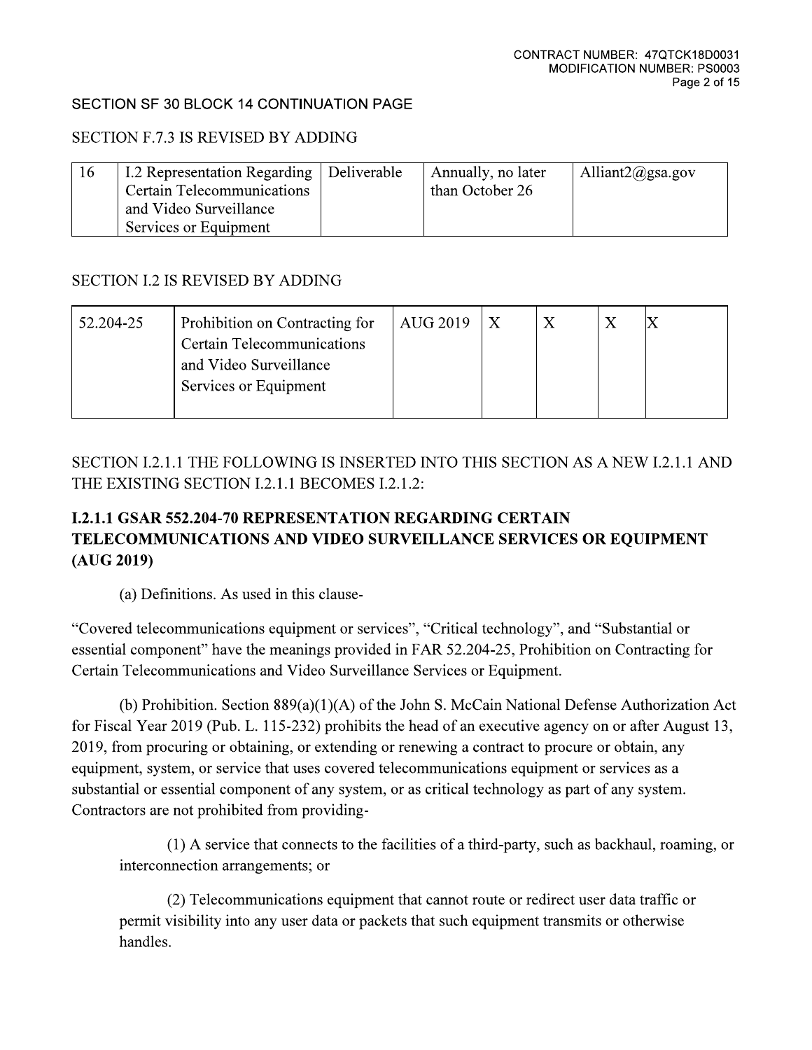#### SECTION SF 30 BLOCK 14 CONTINUATION PAGE

#### **SECTION F.7.3 IS REVISED BY ADDING**

| I.2 Representation Regarding   Deliverable | Annually, no later | Alliant $2\omega$ gsa.gov |
|--------------------------------------------|--------------------|---------------------------|
| <b>Certain Telecommunications</b>          | than October 26    |                           |
| and Video Surveillance                     |                    |                           |
| Services or Equipment                      |                    |                           |

#### **SECTION L2 IS REVISED BY ADDING**

| 52.204-25 | Prohibition on Contracting for    | AUG 2019 | $\mathbf{X}$ |  |  |
|-----------|-----------------------------------|----------|--------------|--|--|
|           | <b>Certain Telecommunications</b> |          |              |  |  |
|           | and Video Surveillance            |          |              |  |  |
|           | Services or Equipment             |          |              |  |  |
|           |                                   |          |              |  |  |

SECTION I.2.1.1 THE FOLLOWING IS INSERTED INTO THIS SECTION AS A NEW I.2.1.1 AND THE EXISTING SECTION I.2.1.1 BECOMES I.2.1.2:

## **I.2.1.1 GSAR 552.204-70 REPRESENTATION REGARDING CERTAIN** TELECOMMUNICATIONS AND VIDEO SURVEILLANCE SERVICES OR EOUIPMENT (AUG 2019)

(a) Definitions. As used in this clause-

"Covered telecommunications equipment or services", "Critical technology", and "Substantial or essential component" have the meanings provided in FAR 52.204-25, Prohibition on Contracting for Certain Telecommunications and Video Surveillance Services or Equipment.

(b) Prohibition. Section  $889(a)(1)(A)$  of the John S. McCain National Defense Authorization Act for Fiscal Year 2019 (Pub. L. 115-232) prohibits the head of an executive agency on or after August 13, 2019, from procuring or obtaining, or extending or renewing a contract to procure or obtain, any equipment, system, or service that uses covered telecommunications equipment or services as a substantial or essential component of any system, or as critical technology as part of any system. Contractors are not prohibited from providing-

(1) A service that connects to the facilities of a third-party, such as backhaul, roaming, or interconnection arrangements; or

(2) Telecommunications equipment that cannot route or redirect user data traffic or permit visibility into any user data or packets that such equipment transmits or otherwise handles.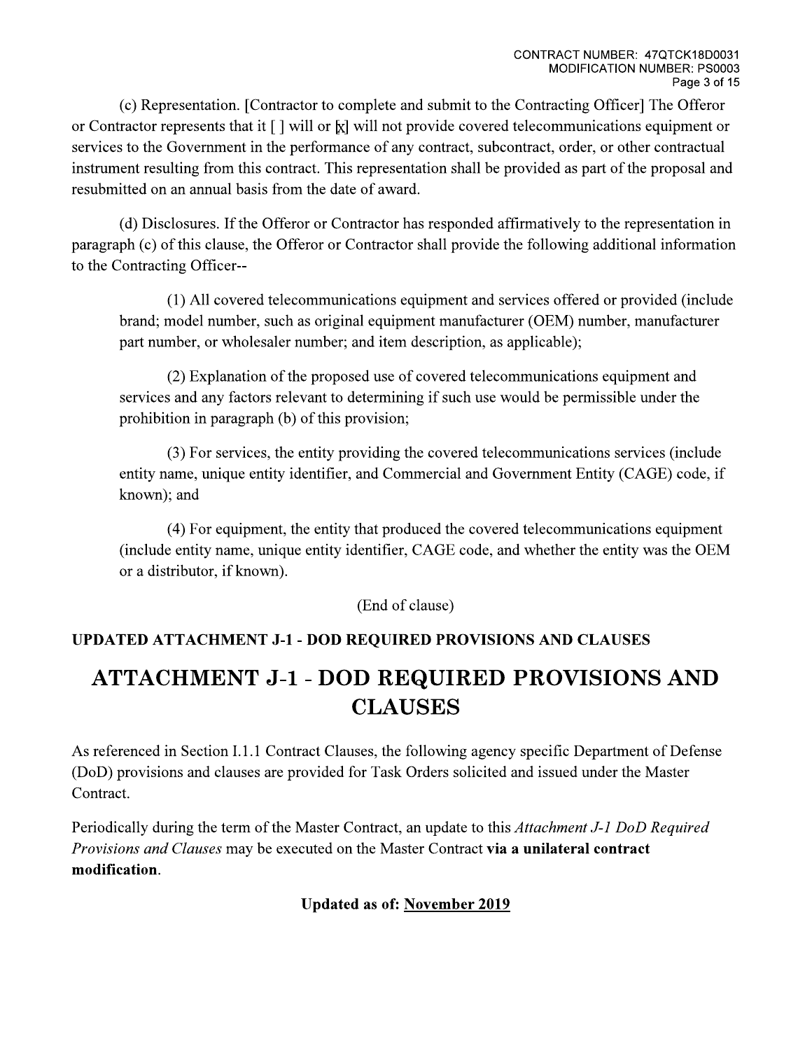(c) Representation. [Contractor to complete and submit to the Contracting Officer] The Offeror or Contractor represents that it  $\lceil \cdot \rceil$  will or  $\lceil x \rceil$  will not provide covered telecommunications equipment or services to the Government in the performance of any contract, subcontract, order, or other contractual instrument resulting from this contract. This representation shall be provided as part of the proposal and resubmitted on an annual basis from the date of award.

(d) Disclosures. If the Offeror or Contractor has responded affirmatively to the representation in paragraph (c) of this clause, the Offeror or Contractor shall provide the following additional information to the Contracting Officer--

(1) All covered telecommunications equipment and services offered or provided (include brand; model number, such as original equipment manufacturer (OEM) number, manufacturer part number, or wholesaler number; and item description, as applicable);

(2) Explanation of the proposed use of covered telecommunications equipment and services and any factors relevant to determining if such use would be permissible under the prohibition in paragraph (b) of this provision;

(3) For services, the entity providing the covered telecommunications services (include entity name, unique entity identifier, and Commercial and Government Entity (CAGE) code, if known); and

(4) For equipment, the entity that produced the covered telecommunications equipment (include entity name, unique entity identifier, CAGE code, and whether the entity was the OEM or a distributor, if known).

(End of clause)

# **UPDATED ATTACHMENT J-1 - DOD REQUIRED PROVISIONS AND CLAUSES**

# **ATTACHMENT J-1 - DOD REQUIRED PROVISIONS AND CLAUSES**

As referenced in Section I.1.1 Contract Clauses, the following agency specific Department of Defense (DoD) provisions and clauses are provided for Task Orders solicited and issued under the Master Contract.

Periodically during the term of the Master Contract, an update to this *Attachment J-1 DoD Required* Provisions and Clauses may be executed on the Master Contract via a unilateral contract modification.

**Updated as of: November 2019**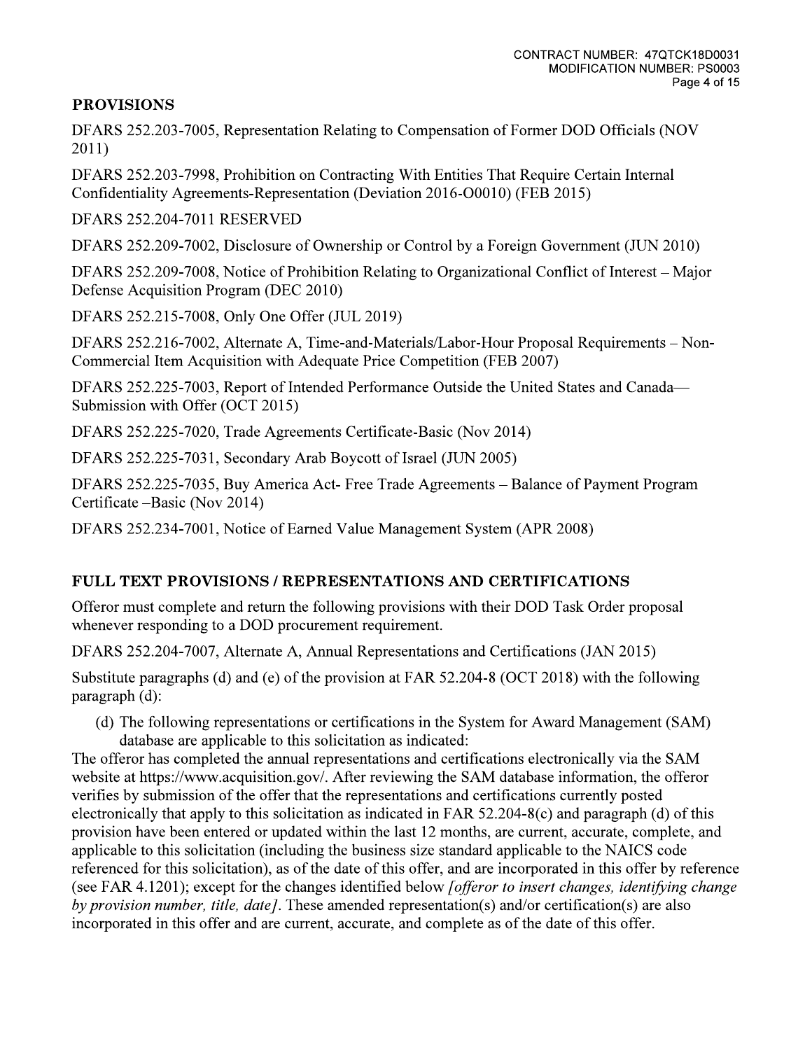#### **PROVISIONS**

DFARS 252.203-7005, Representation Relating to Compensation of Former DOD Officials (NOV  $2011)$ 

DFARS 252.203-7998, Prohibition on Contracting With Entities That Require Certain Internal Confidentiality Agreements-Representation (Deviation 2016-00010) (FEB 2015)

**DFARS 252.204-7011 RESERVED** 

DFARS 252.209-7002, Disclosure of Ownership or Control by a Foreign Government (JUN 2010)

DFARS 252.209-7008, Notice of Prohibition Relating to Organizational Conflict of Interest – Major Defense Acquisition Program (DEC 2010)

DFARS 252.215-7008, Only One Offer (JUL 2019)

DFARS 252.216-7002, Alternate A, Time-and-Materials/Labor-Hour Proposal Requirements - Non-Commercial Item Acquisition with Adequate Price Competition (FEB 2007)

DFARS 252.225-7003, Report of Intended Performance Outside the United States and Canada-Submission with Offer (OCT 2015)

DFARS 252.225-7020, Trade Agreements Certificate-Basic (Nov 2014)

DFARS 252.225-7031, Secondary Arab Boycott of Israel (JUN 2005)

DFARS 252.225-7035, Buy America Act- Free Trade Agreements – Balance of Payment Program Certificate –Basic (Nov 2014)

DFARS 252.234-7001, Notice of Earned Value Management System (APR 2008)

### **FULL TEXT PROVISIONS/REPRESENTATIONS AND CERTIFICATIONS**

Offeror must complete and return the following provisions with their DOD Task Order proposal whenever responding to a DOD procurement requirement.

DFARS 252.204-7007, Alternate A, Annual Representations and Certifications (JAN 2015)

Substitute paragraphs (d) and (e) of the provision at FAR 52.204-8 (OCT 2018) with the following paragraph (d):

(d) The following representations or certifications in the System for Award Management (SAM) database are applicable to this solicitation as indicated:

The offeror has completed the annual representations and certifications electronically via the SAM website at https://www.acquisition.gov/. After reviewing the SAM database information, the offeror verifies by submission of the offer that the representations and certifications currently posted electronically that apply to this solicitation as indicated in FAR 52.204-8(c) and paragraph (d) of this provision have been entered or updated within the last 12 months, are current, accurate, complete, and applicable to this solicitation (including the business size standard applicable to the NAICS code referenced for this solicitation), as of the date of this offer, and are incorporated in this offer by reference (see FAR 4.1201); except for the changes identified below *[offeror to insert changes, identifying change* by provision number, title, date]. These amended representation(s) and/or certification(s) are also incorporated in this offer and are current, accurate, and complete as of the date of this offer.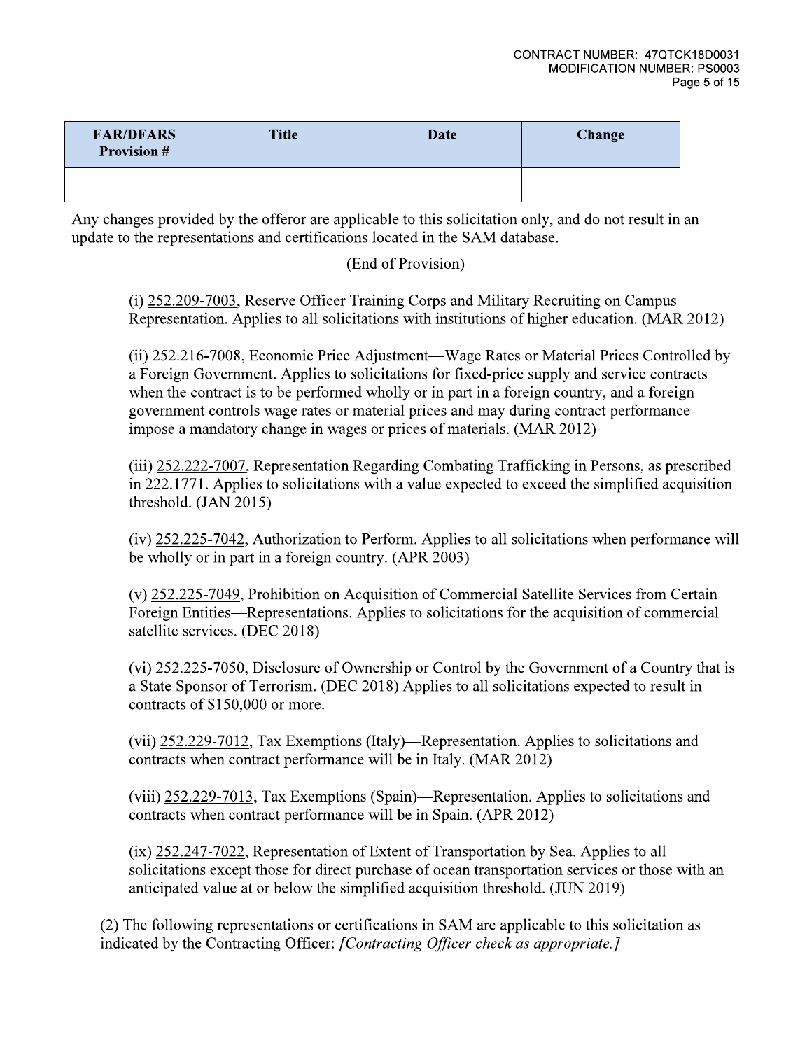|                                        |                                                                                                                                                                                        |                    | CONTRACT NUMBER: 47QTCK18D<br><b>MODIFICATION NUMBER: PS</b><br>Page 5 |
|----------------------------------------|----------------------------------------------------------------------------------------------------------------------------------------------------------------------------------------|--------------------|------------------------------------------------------------------------|
| <b>FAR/DFARS</b><br><b>Provision #</b> | <b>Title</b>                                                                                                                                                                           | Date               | Change                                                                 |
|                                        |                                                                                                                                                                                        |                    |                                                                        |
|                                        | Any changes provided by the offeror are applicable to this solicitation only, and do not result in an<br>update to the representations and certifications located in the SAM database. |                    |                                                                        |
|                                        |                                                                                                                                                                                        | (End of Provision) |                                                                        |

Representation. Applies to all solicitations with institutions of higher education. (MAR 2012)

(ii) 252.216-7008, Economic Price Adjustment—Wage Rates or Material Prices Controlled by a Foreign Government. Applies to solicitations for fixed-price supply and service contracts when the contract is to be performed wholly or in part in a foreign country, and a foreign government controls wage rates or material prices and may during contract performance impose a mandatory change in wages or prices of materials. (MAR 2012)

(iii) 252.222-7007, Representation Regarding Combating Trafficking in Persons, as prescribed in 222.1771. Applies to solicitations with a value expected to exceed the simplified acquisition threshold. (JAN 2015)

 $(iv)$  252.225-7042, Authorization to Perform. Applies to all solicitations when performance will be wholly or in part in a foreign country. (APR 2003)

(v) 252.225-7049, Prohibition on Acquisition of Commercial Satellite Services from Certain Foreign Entities—Representations. Applies to solicitations for the acquisition of commercial satellite services. (DEC 2018)

(vi) 252.225-7050, Disclosure of Ownership or Control by the Government of a Country that is a State Sponsor of Terrorism. (DEC 2018) Applies to all solicitations expected to result in contracts of  $$150,000$  or more.

(vii)  $252.229-7012$ , Tax Exemptions (Italy)—Representation. Applies to solicitations and contracts when contract performance will be in Italy. (MAR 2012)

(viii) 252.229-7013, Tax Exemptions (Spain)—Representation. Applies to solicitations and contracts when contract performance will be in Spain. (APR 2012)

 $\rm (ix)$  252.247-7022, Representation of Extent of Transportation by Sea. Applies to all solicitations except those for direct purchase of ocean transportation services or those with an anticipated value at or below the simplified acquisition threshold. (JUN 2019)

(2) The following representations or certifications in SAM are applicable to this solicitation as indicated by the Contracting Officer: [Contracting Officer check as appropriate.]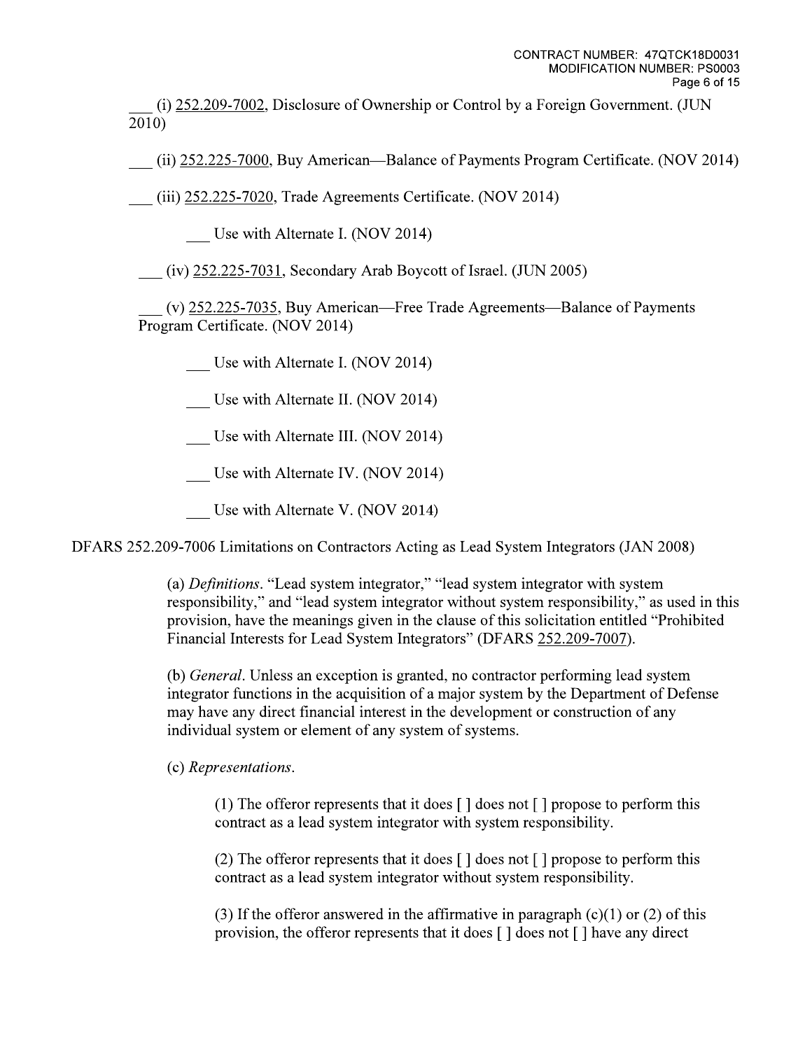(i) 252.209-7002, Disclosure of Ownership or Control by a Foreign Government. (JUN  $2010$ 

(ii) 252.225-7000, Buy American—Balance of Payments Program Certificate. (NOV 2014)

(iii) 252.225-7020, Trade Agreements Certificate. (NOV 2014)

Use with Alternate I. (NOV 2014)

 $(iv)$  252.225-7031, Secondary Arab Boycott of Israel. (JUN 2005)

(v) 252.225-7035, Buy American—Free Trade Agreements—Balance of Payments Program Certificate. (NOV 2014)

Use with Alternate I. (NOV 2014)

Use with Alternate II. (NOV 2014)

Use with Alternate III. (NOV 2014)

Use with Alternate IV. (NOV 2014)

Use with Alternate V. (NOV 2014)

DFARS 252.209-7006 Limitations on Contractors Acting as Lead System Integrators (JAN 2008)

(a) Definitions. "Lead system integrator," "lead system integrator with system responsibility," and "lead system integrator without system responsibility," as used in this provision, have the meanings given in the clause of this solicitation entitled "Prohibited" Financial Interests for Lead System Integrators" (DFARS 252.209-7007).

(b) *General*. Unless an exception is granted, no contractor performing lead system integrator functions in the acquisition of a major system by the Department of Defense may have any direct financial interest in the development or construction of any individual system or element of any system of systems.

(c) Representations.

(1) The offeror represents that it does  $\lceil \cdot \rceil$  does not  $\lceil \cdot \rceil$  propose to perform this contract as a lead system integrator with system responsibility.

(2) The offeror represents that it does  $\lceil \cdot \rceil$  does not  $\lceil \cdot \rceil$  propose to perform this contract as a lead system integrator without system responsibility.

(3) If the offeror answered in the affirmative in paragraph  $(c)(1)$  or  $(2)$  of this provision, the offeror represents that it does [] does not [] have any direct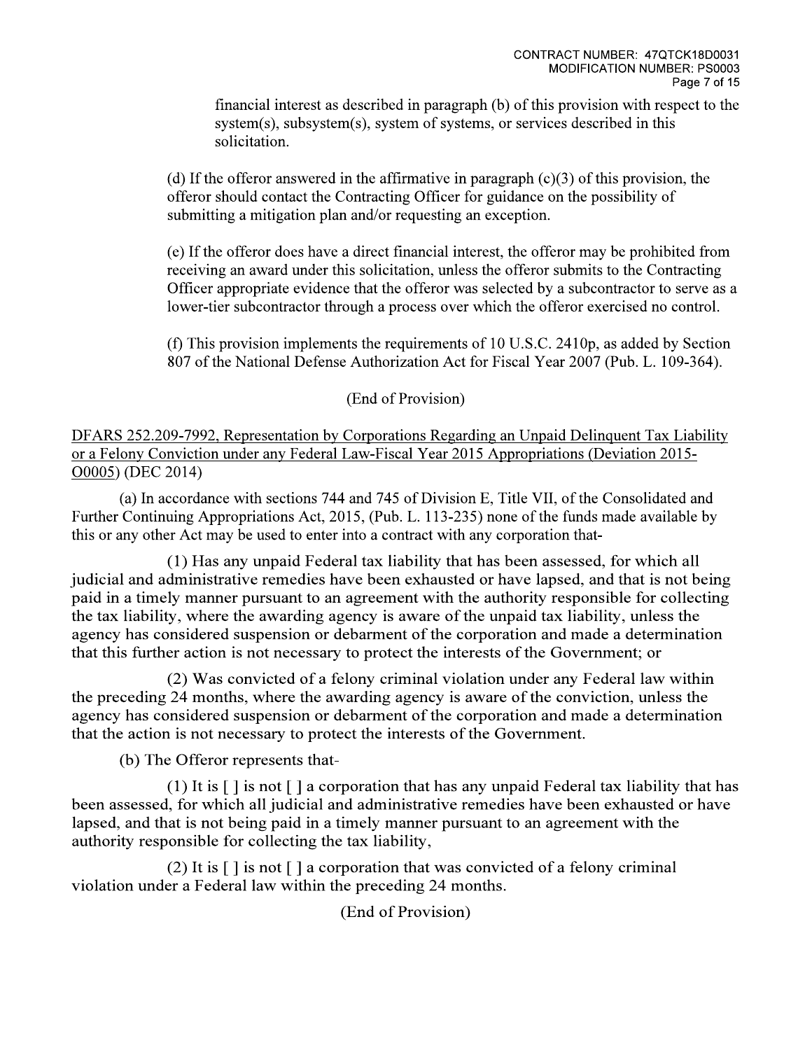financial interest as described in paragraph (b) of this provision with respect to the system(s), subsystem(s), system of systems, or services described in this solicitation.

(d) If the offeror answered in the affirmative in paragraph  $(c)(3)$  of this provision, the offeror should contact the Contracting Officer for guidance on the possibility of submitting a mitigation plan and/or requesting an exception.

(e) If the offeror does have a direct financial interest, the offeror may be prohibited from receiving an award under this solicitation, unless the offeror submits to the Contracting Officer appropriate evidence that the offeror was selected by a subcontractor to serve as a lower-tier subcontractor through a process over which the offeror exercised no control.

(f) This provision implements the requirements of 10 U.S.C. 2410p, as added by Section 807 of the National Defense Authorization Act for Fiscal Year 2007 (Pub. L. 109-364).

(End of Provision)

DFARS 252.209-7992, Representation by Corporations Regarding an Unpaid Delinguent Tax Liability or a Felony Conviction under any Federal Law-Fiscal Year 2015 Appropriations (Deviation 2015-O0005) (DEC 2014)

(a) In accordance with sections 744 and 745 of Division E, Title VII, of the Consolidated and Further Continuing Appropriations Act, 2015, (Pub. L. 113-235) none of the funds made available by this or any other Act may be used to enter into a contract with any corporation that-

(1) Has any unpaid Federal tax liability that has been assessed, for which all judicial and administrative remedies have been exhausted or have lapsed, and that is not being paid in a timely manner pursuant to an agreement with the authority responsible for collecting the tax liability, where the awarding agency is aware of the unpaid tax liability, unless the agency has considered suspension or debarment of the corporation and made a determination that this further action is not necessary to protect the interests of the Government; or

(2) Was convicted of a felony criminal violation under any Federal law within the preceding 24 months, where the awarding agency is aware of the conviction, unless the agency has considered suspension or debarment of the corporation and made a determination that the action is not necessary to protect the interests of the Government.

(b) The Offeror represents that-

(1) It is  $\lceil \cdot \rceil$  is not  $\lceil \cdot \rceil$  a corporation that has any unpaid Federal tax liability that has been assessed, for which all judicial and administrative remedies have been exhausted or have lapsed, and that is not being paid in a timely manner pursuant to an agreement with the authority responsible for collecting the tax liability,

(2) It is  $\lceil \cdot \rceil$  is not  $\lceil \cdot \rceil$  a corporation that was convicted of a felony criminal violation under a Federal law within the preceding 24 months.

(End of Provision)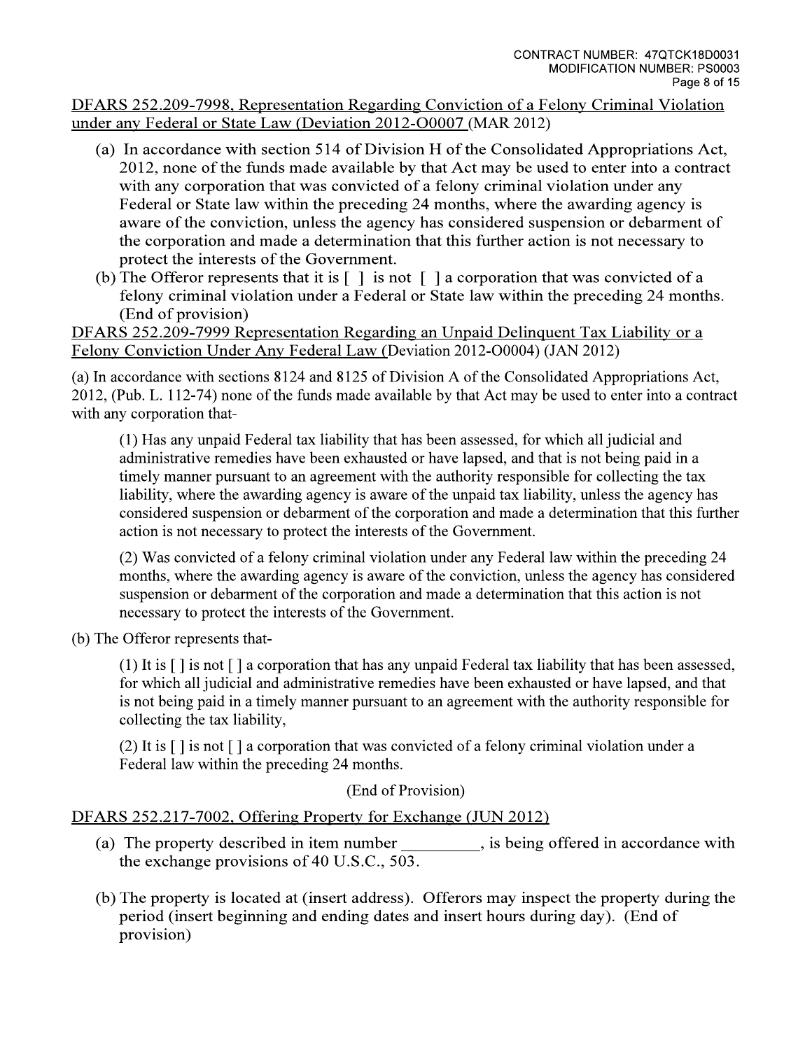#### DFARS 252.209-7998, Representation Regarding Conviction of a Felony Criminal Violation under any Federal or State Law (Deviation 2012-O0007 (MAR 2012)

- (a) In accordance with section 514 of Division H of the Consolidated Appropriations Act, 2012, none of the funds made available by that Act may be used to enter into a contract with any corporation that was convicted of a felony criminal violation under any Federal or State law within the preceding 24 months, where the awarding agency is aware of the conviction, unless the agency has considered suspension or debarment of the corporation and made a determination that this further action is not necessary to protect the interests of the Government.
- (b) The Offeror represents that it is  $\lceil \cdot \rceil$  is not  $\lceil \cdot \rceil$  a corporation that was convicted of a felony criminal violation under a Federal or State law within the preceding 24 months. (End of provision)

DFARS 252.209-7999 Representation Regarding an Unpaid Delinquent Tax Liability or a Felony Conviction Under Any Federal Law (Deviation 2012-00004) (JAN 2012)

(a) In accordance with sections 8124 and 8125 of Division A of the Consolidated Appropriations Act, 2012, (Pub. L. 112-74) none of the funds made available by that Act may be used to enter into a contract with any corporation that-

(1) Has any unpaid Federal tax liability that has been assessed, for which all judicial and administrative remedies have been exhausted or have lapsed, and that is not being paid in a timely manner pursuant to an agreement with the authority responsible for collecting the tax liability, where the awarding agency is aware of the unpaid tax liability, unless the agency has considered suspension or debarment of the corporation and made a determination that this further action is not necessary to protect the interests of the Government.

(2) Was convicted of a felony criminal violation under any Federal law within the preceding 24 months, where the awarding agency is aware of the conviction, unless the agency has considered suspension or debarment of the corporation and made a determination that this action is not necessary to protect the interests of the Government.

(b) The Offeror represents that-

(1) It is  $\lceil \cdot \rceil$  is not  $\lceil \cdot \rceil$  a corporation that has any unpaid Federal tax liability that has been assessed, for which all judicial and administrative remedies have been exhausted or have lapsed, and that is not being paid in a timely manner pursuant to an agreement with the authority responsible for collecting the tax liability,

(2) It is  $\lceil$  is not  $\lceil$  a corporation that was convicted of a felony criminal violation under a Federal law within the preceding 24 months.

#### (End of Provision)

### DFARS 252.217-7002, Offering Property for Exchange (JUN 2012)

- is being offered in accordance with (a) The property described in item number the exchange provisions of 40 U.S.C.,  $503$ .
- (b) The property is located at (insert address). Offerors may inspect the property during the period (insert beginning and ending dates and insert hours during day). (End of provision)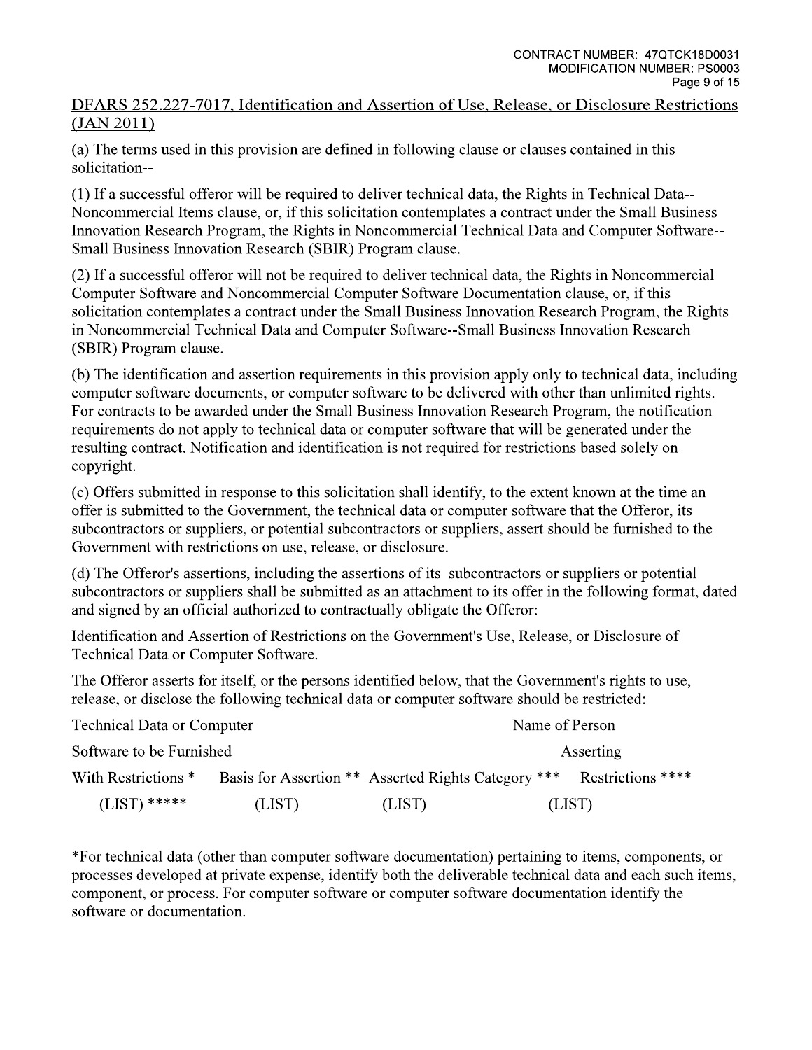#### DFARS 252.227-7017, Identification and Assertion of Use, Release, or Disclosure Restrictions  $(JAN 2011)$

(a) The terms used in this provision are defined in following clause or clauses contained in this solicitation--

(1) If a successful offeror will be required to deliver technical data, the Rights in Technical Data--Noncommercial Items clause, or, if this solicitation contemplates a contract under the Small Business Innovation Research Program, the Rights in Noncommercial Technical Data and Computer Software--Small Business Innovation Research (SBIR) Program clause.

(2) If a successful offeror will not be required to deliver technical data, the Rights in Noncommercial Computer Software and Noncommercial Computer Software Documentation clause, or, if this solicitation contemplates a contract under the Small Business Innovation Research Program, the Rights in Noncommercial Technical Data and Computer Software--Small Business Innovation Research (SBIR) Program clause.

(b) The identification and assertion requirements in this provision apply only to technical data, including computer software documents, or computer software to be delivered with other than unlimited rights. For contracts to be awarded under the Small Business Innovation Research Program, the notification requirements do not apply to technical data or computer software that will be generated under the resulting contract. Notification and identification is not required for restrictions based solely on copyright.

(c) Offers submitted in response to this solicitation shall identify, to the extent known at the time an offer is submitted to the Government, the technical data or computer software that the Offeror, its subcontractors or suppliers, or potential subcontractors or suppliers, assert should be furnished to the Government with restrictions on use, release, or disclosure.

(d) The Offeror's assertions, including the assertions of its subcontractors or suppliers or potential subcontractors or suppliers shall be submitted as an attachment to its offer in the following format, dated and signed by an official authorized to contractually obligate the Offeror:

Identification and Assertion of Restrictions on the Government's Use, Release, or Disclosure of Technical Data or Computer Software.

The Offeror asserts for itself, or the persons identified below, that the Government's rights to use, release, or disclose the following technical data or computer software should be restricted:

| <b>Technical Data or Computer</b> |        | Name of Person                                      |        |                   |  |
|-----------------------------------|--------|-----------------------------------------------------|--------|-------------------|--|
| Software to be Furnished          |        |                                                     |        | Asserting         |  |
| With Restrictions *               |        | Basis for Assertion ** Asserted Rights Category *** |        | Restrictions **** |  |
| $(LIST)$ *****                    | (LIST) | (LIST)                                              | (LIST) |                   |  |

\*For technical data (other than computer software documentation) pertaining to items, components, or processes developed at private expense, identify both the deliverable technical data and each such items, component, or process. For computer software or computer software documentation identify the software or documentation.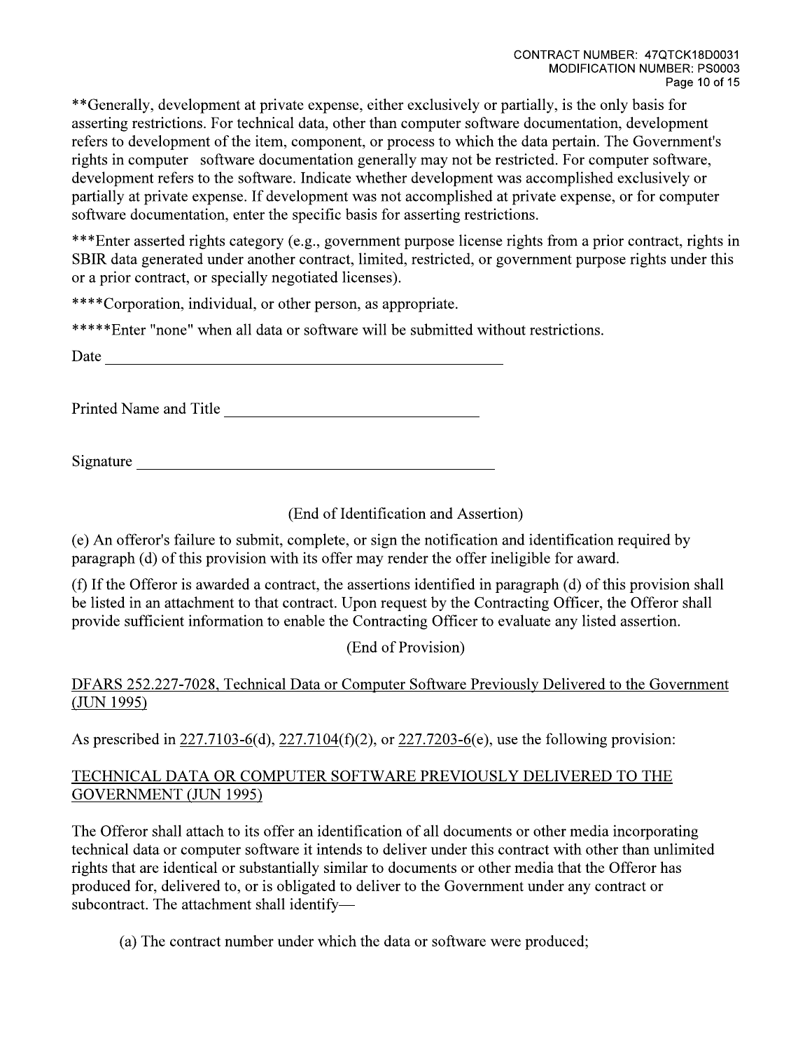\*\*Generally, development at private expense, either exclusively or partially, is the only basis for asserting restrictions. For technical data, other than computer software documentation, development refers to development of the item, component, or process to which the data pertain. The Government's rights in computer software documentation generally may not be restricted. For computer software, development refers to the software. Indicate whether development was accomplished exclusively or partially at private expense. If development was not accomplished at private expense, or for computer software documentation, enter the specific basis for asserting restrictions.

\*\*\*Enter asserted rights category (e.g., government purpose license rights from a prior contract, rights in SBIR data generated under another contract, limited, restricted, or government purpose rights under this or a prior contract, or specially negotiated licenses).

\*\*\*\*Corporation, individual, or other person, as appropriate.

\*\*\*\*\*Enter "none" when all data or software will be submitted without restrictions.

Printed Name and Title

Signature Signature and the state of the state of the state of the state of the state of the state of the state of the state of the state of the state of the state of the state of the state of the state of the state of the

(End of Identification and Assertion)

(e) An offeror's failure to submit, complete, or sign the notification and identification required by paragraph (d) of this provision with its offer may render the offer ineligible for award.

(f) If the Offeror is awarded a contract, the assertions identified in paragraph (d) of this provision shall be listed in an attachment to that contract. Upon request by the Contracting Officer, the Offeror shall provide sufficient information to enable the Contracting Officer to evaluate any listed assertion.

(End of Provision)

#### DFARS 252.227-7028, Technical Data or Computer Software Previously Delivered to the Government  $(JUN 1995)$

As prescribed in  $227.7103-6(d)$ ,  $227.7104(f)(2)$ , or  $227.7203-6(e)$ , use the following provision:

#### TECHNICAL DATA OR COMPUTER SOFTWARE PREVIOUSLY DELIVERED TO THE **GOVERNMENT (JUN 1995)**

The Offeror shall attach to its offer an identification of all documents or other media incorporating technical data or computer software it intends to deliver under this contract with other than unlimited rights that are identical or substantially similar to documents or other media that the Offeror has produced for, delivered to, or is obligated to deliver to the Government under any contract or subcontract. The attachment shall identify-

(a) The contract number under which the data or software were produced;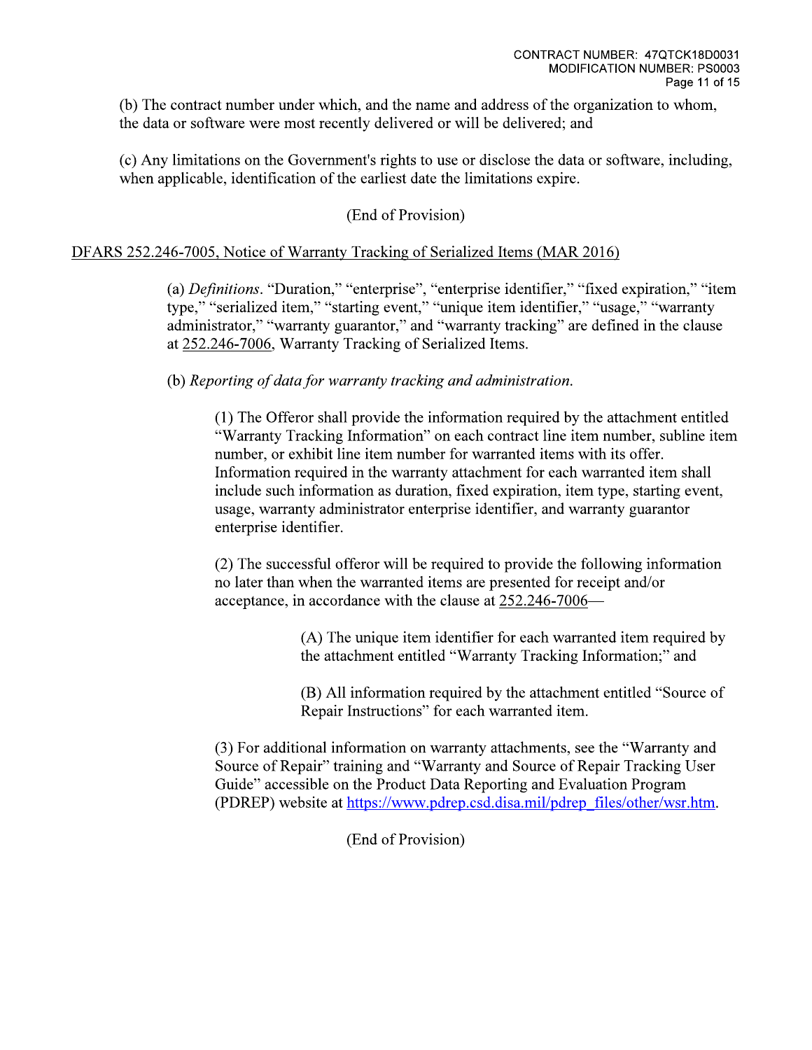(b) The contract number under which, and the name and address of the organization to whom, the data or software were most recently delivered or will be delivered; and

(c) Any limitations on the Government's rights to use or disclose the data or software, including, when applicable, identification of the earliest date the limitations expire.

#### (End of Provision)

#### DFARS 252.246-7005, Notice of Warranty Tracking of Serialized Items (MAR 2016)

(a) Definitions. "Duration," "enterprise", "enterprise identifier," "fixed expiration," "item type," "serialized item," "starting event," "unique item identifier," "usage," "warranty administrator," "warranty guarantor," and "warranty tracking" are defined in the clause at 252.246-7006, Warranty Tracking of Serialized Items.

(b) Reporting of data for warranty tracking and administration.

(1) The Offeror shall provide the information required by the attachment entitled "Warranty Tracking Information" on each contract line item number, subline item number, or exhibit line item number for warranted items with its offer. Information required in the warranty attachment for each warranted item shall include such information as duration, fixed expiration, item type, starting event, usage, warranty administrator enterprise identifier, and warranty guarantor enterprise identifier.

(2) The successful offeror will be required to provide the following information no later than when the warranted items are presented for receipt and/or acceptance, in accordance with the clause at 252.246-7006-

> (A) The unique item identifier for each warranted item required by the attachment entitled "Warranty Tracking Information;" and

> (B) All information required by the attachment entitled "Source of Repair Instructions" for each warranted item.

(3) For additional information on warranty attachments, see the "Warranty and Source of Repair" training and "Warranty and Source of Repair Tracking User Guide" accessible on the Product Data Reporting and Evaluation Program (PDREP) website at https://www.pdrep.csd.disa.mil/pdrep\_files/other/wsr.htm.

(End of Provision)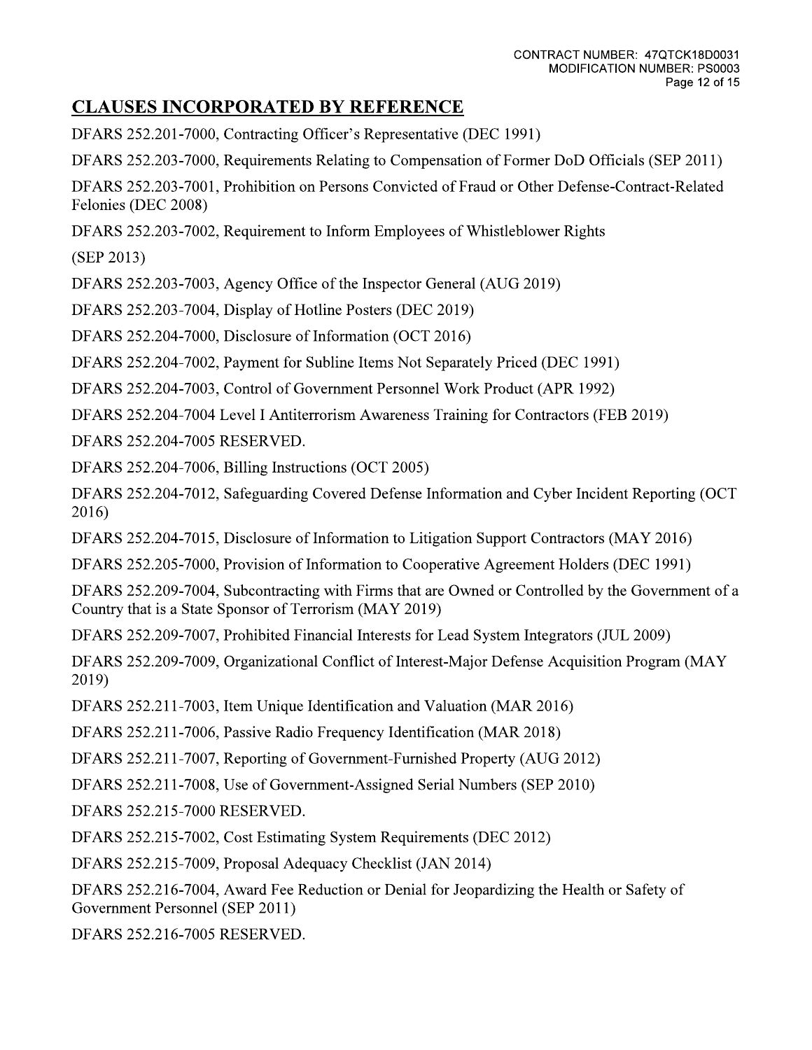CONTRACT NUMBER: 47GTCK18D0031<br>
MODIFICATION NUMBER: 47GTCK18D0031<br>
DFARS 252.201-7000, Contracting Officer's Representative (DEC 1991)<br>
DFARS 252.203-7000, Requirements Relating to Compensation of Former DoD Officials (SE

DFARS 252.203-7004, Display of Hotline Posters (DEC 2019)

DFARS 252.204-7000, Disclosure of Information (OCT 2016)

DFARS 252.204-7002, Payment for Subline Items Not Separately Priced (DEC 1991)

DFARS 252.204-7003, Control of Government Personnel Work Product (APR 1992)

DFARS 252.204-7004 Level I Antiterrorism Awareness Training for Contractors (FEB 2019)

DFARS 252.204-7005 RESERVED.

DFARS 252.204-7006, Billing Instructions (OCT 2005)

DFARS 252.204-7012, Safeguarding Covered Defense Information and Cyber Incident Reporting (OCT) 2016)

DFARS 252.204-7015, Disclosure of Information to Litigation Support Contractors (MAY 2016)

DFARS 252.205-7000, Provision of Information to Cooperative Agreement Holders (DEC 1991)

DFARS 252.209-7004, Subcontracting with Firms that are Owned or Controlled by the Government of a Country that is a State Sponsor of Terrorism (MAY 2019)

DFARS 252.209-7007, Prohibited Financial Interests for Lead System Integrators (JUL 2009)

DFARS 252.209-7009, Organizational Conflict of Interest-Major Defense Acquisition Program (MAY 2019)

DFARS 252.211-7003, Item Unique Identification and Valuation (MAR 2016)

DFARS 252.211-7006, Passive Radio Frequency Identification (MAR 2018)

DFARS 252.211-7007, Reporting of Government-Furnished Property (AUG 2012)

DFARS 252.211-7008, Use of Government-Assigned Serial Numbers (SEP 2010)

DFARS 252.215-7000 RESERVED.

DFARS 252.215-7002, Cost Estimating System Requirements (DEC 2012)

DFARS 252.215-7009, Proposal Adequacy Checklist (JAN 2014)

DFARS 252.216-7004, Award Fee Reduction or Denial for Jeopardizing the Health or Safety of Government Personnel (SEP 2011)

DFARS 252.216-7005 RESERVED.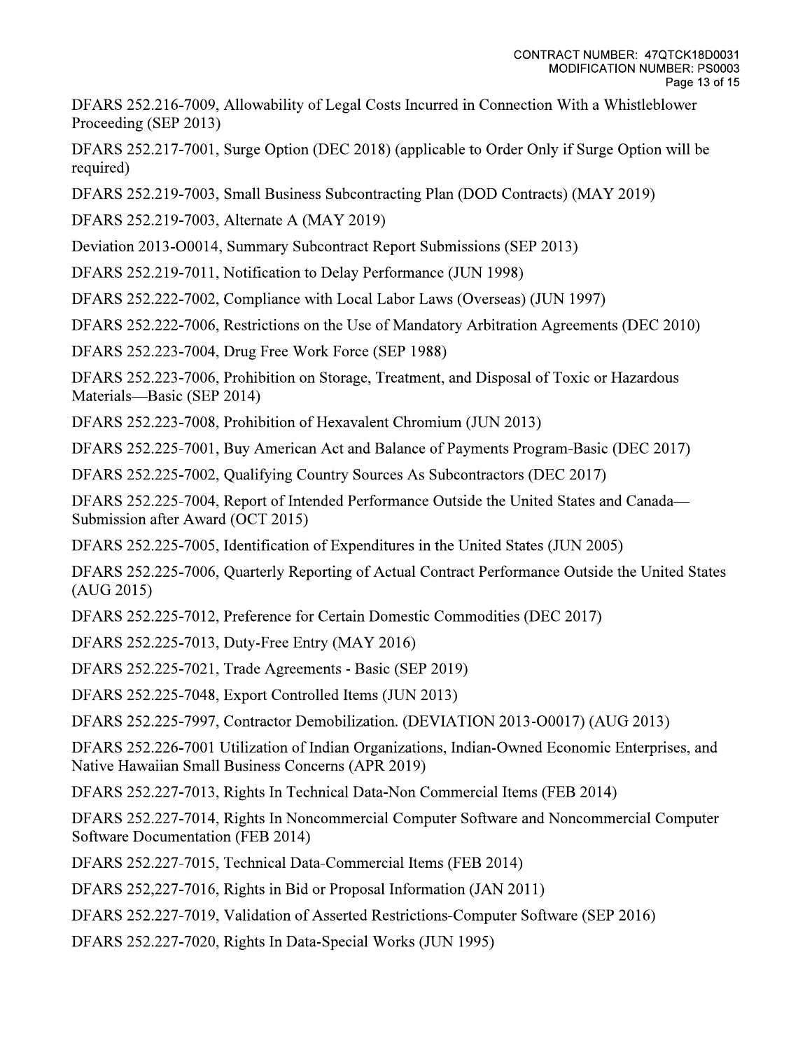CONTRACT NUMBER: 47GTCK1800331<br>
MODIFICATION NUMBER: 47GTCK1800331<br>
Proceeding (SEP 2013)<br>
DFARS 252.216-7009, Allowability of Legal Costs Incurred in Connection With a Whistleblower<br>
Proger 300 of Froceeding (SEP 2013)<br>
D

Deviation 2013-00044, Sturmary Subcostnas: Report Subristions (SEP 2013)<br>DEViation 2013-00044, Sturmary Subcostnas: Report Subristions (SEP 2013)<br>DEARS 252-222-7000, Compliance with Local Labor Laws (Occurses) (JUN 1997)<br>D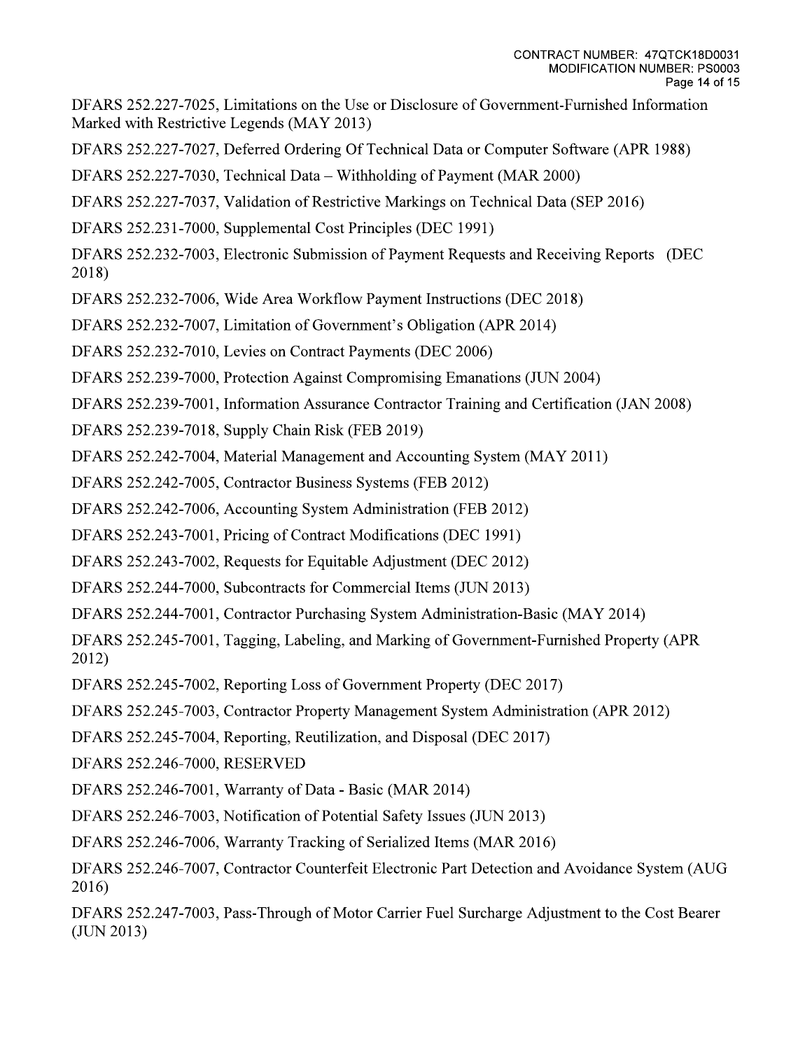- DFARS 252.227-7025, Limitations on the Use or Disclosure of Government-Furnished Information Marked with Restrictive Legends (MAY 2013)
- DFARS 252.227-7027, Deferred Ordering Of Technical Data or Computer Software (APR 1988)
- DFARS 252.227-7030, Technical Data Withholding of Payment (MAR 2000)
- DFARS 252.227-7037, Validation of Restrictive Markings on Technical Data (SEP 2016)
- DFARS 252.231-7000, Supplemental Cost Principles (DEC 1991)
- DFARS 252.232-7003, Electronic Submission of Payment Requests and Receiving Reports (DEC 2018)
- DFARS 252.232-7006, Wide Area Workflow Payment Instructions (DEC 2018)
- DFARS 252.232-7007, Limitation of Government's Obligation (APR 2014)
- DFARS 252.232-7010, Levies on Contract Payments (DEC 2006)
- DFARS 252.239-7000, Protection Against Compromising Emanations (JUN 2004)
- DFARS 252.239-7001, Information Assurance Contractor Training and Certification (JAN 2008)
- DFARS 252.239-7018, Supply Chain Risk (FEB 2019)
- DFARS 252.242-7004, Material Management and Accounting System (MAY 2011)
- DFARS 252.242-7005, Contractor Business Systems (FEB 2012)
- DFARS 252.242-7006, Accounting System Administration (FEB 2012)
- DFARS 252.243-7001, Pricing of Contract Modifications (DEC 1991)
- DFARS 252.243-7002, Requests for Equitable Adjustment (DEC 2012)
- DFARS 252.244-7000, Subcontracts for Commercial Items (JUN 2013)
- DFARS 252.244-7001, Contractor Purchasing System Administration-Basic (MAY 2014)
- DFARS 252.245-7001, Tagging, Labeling, and Marking of Government-Furnished Property (APR 2012)
- DFARS 252.245-7002, Reporting Loss of Government Property (DEC 2017)
- DFARS 252.245-7003, Contractor Property Management System Administration (APR 2012)
- DFARS 252.245-7004, Reporting, Reutilization, and Disposal (DEC 2017)
- DFARS 252.246-7000, RESERVED
- DFARS 252.246-7001, Warranty of Data Basic (MAR 2014)
- DFARS 252.246-7003, Notification of Potential Safety Issues (JUN 2013)
- DFARS 252.246-7006, Warranty Tracking of Serialized Items (MAR 2016)
- DFARS 252.246-7007, Contractor Counterfeit Electronic Part Detection and Avoidance System (AUG 2016)
- DFARS 252.247-7003, Pass-Through of Motor Carrier Fuel Surcharge Adjustment to the Cost Bearer  $(JUN 2013)$